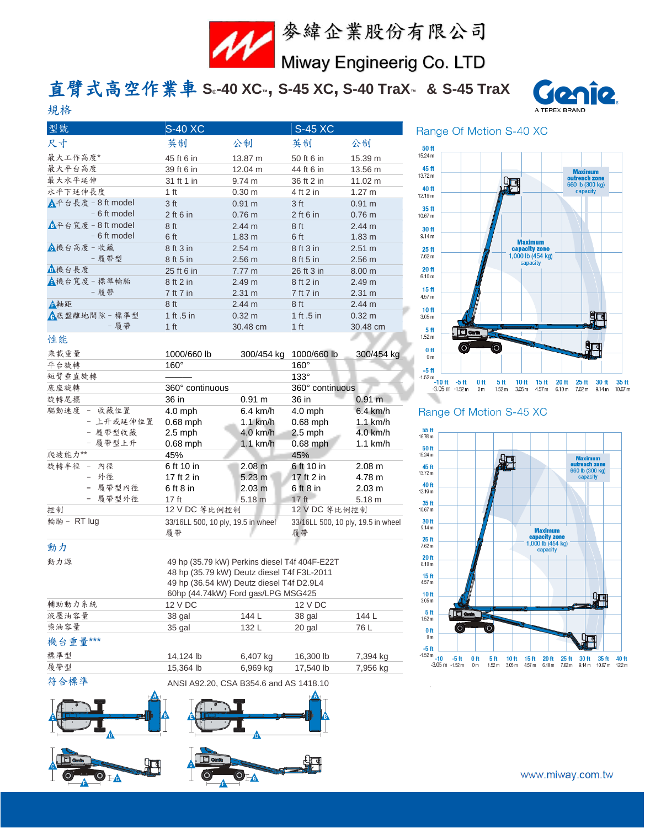

## 直臂式高空作業車 **S® -40 XC™, S-45 XC, S-40 TraX™ & S-45 TraX**



| 型號                            | <b>S-40 XC</b>  |                  | <b>S-45 XC</b>  |                  |
|-------------------------------|-----------------|------------------|-----------------|------------------|
| 尺寸                            | 英制              | 公制               | 英制              | 公制               |
| 最大工作高度*                       | 45 ft 6 in      | 13.87 m          | 50 ft 6 in      | 15.39 m          |
| 最大平台高度                        | 39 ft 6 in      | 12.04 m          | 44 ft 6 in      | 13.56 m          |
| 最大水平延伸                        | 31 ft 1 in      | 9.74 m           | 36 ft 2 in      | 11.02 m          |
| 水平下延伸長度                       | 1 ft            | 0.30 m           | 4 ft 2 in       | $1.27 \text{ m}$ |
| $\Lambda$ 平台長度 - 8 ft model   | 3 <sub>ft</sub> | 0.91 m           | 3 <sub>ft</sub> | 0.91 m           |
| - 6 ft model                  | $2$ ft 6 in     | 0.76 m           | $2$ ft 6 in     | $0.76$ m         |
| $\triangle$ 平台寬度 - 8 ft model | 8 ft            | 2.44 m           | 8 <sub>ft</sub> | 2.44 m           |
| - 6 ft model                  | 6 ft            | $1.83 \text{ m}$ | 6ft             | $1.83 \text{ m}$ |
| <b>心</b> 機台高度 - 收藏            | 8 ft 3 in       | 2.54 m           | 8 ft 3 in       | 2.51 m           |
| - 履帶型                         | 8 ft 5 in       | 2.56 m           | 8 ft 5 in       | 2.56 m           |
| △機台長度                         | 25 ft 6 in      | 7.77 m           | 26 ft 3 in      | 8.00 m           |
| ▲機台寬度 - 標準輪胎                  | 8 ft 2 in       | 2.49 m           | 8 ft 2 in       | 2.49 m           |
| - 履帶                          | 7 ft 7 in       | 2.31 m           | 7 ft 7 in       | 2.31 m           |
| ▲軸距                           | 8 ft            | 2.44 m           | 8 ft            | 2.44 m           |
| <b>A底盤離地間隙-標準型</b>            | 1 ft .5 in      | $0.32 \text{ m}$ | 1 ft .5 in      | $0.32 \text{ m}$ |
| - 履帶                          | 1 <sub>ft</sub> | 30.48 cm         | 1 <sub>ft</sub> | 30.48 cm         |
| 性能<br>$-2$ and $-2$           |                 |                  |                 |                  |

| 乘載重量        | 1000/660 lb                              | 300/454 kg         | 1000/660 lb                              | 300/454 kg        |
|-------------|------------------------------------------|--------------------|------------------------------------------|-------------------|
| 平台旋轉        | $160^\circ$                              |                    | $160^\circ$                              |                   |
| 短臂垂直旋轉      |                                          |                    | $133^\circ$                              |                   |
| 底座旋轉        | 360° continuous                          |                    | 360° continuous                          |                   |
| 旋轉尾擺        | 36 in                                    | 0.91 m             | 36 in                                    | 0.91 m            |
| 驅動速度 - 收藏位置 | $4.0$ mph                                | $6.4 \text{ km/h}$ | $4.0$ mph                                | $6.4$ km/h        |
| - 上升或延伸位置   | $0.68$ mph                               | $1.1$ km/h         | $0.68$ mph                               | $1.1$ km/h        |
| - 履帶型收藏     | $2.5$ mph                                | $4.0$ km/h         | $2.5$ mph                                | 4.0 km/h          |
| - 履帶型上升     | $0.68$ mph                               | $1.1$ km/h         | $0.68$ mph                               | $1.1$ km/h        |
| 爬坡能力**      | 45%                                      |                    | 45%                                      |                   |
| 旋轉半徑 - 內徑   | 6 ft 10 in                               | 2.08 m             | 6 ft 10 in                               | 2.08 m            |
| - 外徑        | 17 ft 2 in                               | $5.23 \text{ m}$   | 17 ft 2 in                               | 4.78 m            |
| - 履帶型內徑     | $6$ ft $8$ in                            | 2.03 <sub>m</sub>  | $6$ ft $8$ in                            | 2.03 m            |
| - 履帶型外徑     | 17 ft                                    | 5.18 <sub>m</sub>  | 17 <sub>ft</sub>                         | 5.18 <sub>m</sub> |
| 控制          | 12 V DC 等比例控制                            |                    | 12 V DC 等比例控制                            |                   |
| 輪胎 - RT lug | 33/16LL 500, 10 ply, 19.5 in wheel<br>履帶 |                    | 33/16LL 500, 10 ply, 19.5 in wheel<br>履帶 |                   |

## 動力

規格

| 動力源     |                                    | 49 hp (35.79 kW) Perkins diesel T4f 404F-E22T<br>48 hp (35.79 kW) Deutz diesel T4f F3L-2011<br>49 hp (36.54 kW) Deutz diesel T4f D2.9L4 |           |          |  |  |
|---------|------------------------------------|-----------------------------------------------------------------------------------------------------------------------------------------|-----------|----------|--|--|
|         | 60hp (44.74kW) Ford gas/LPG MSG425 |                                                                                                                                         |           |          |  |  |
| 輔助動力系統  | 12 V DC                            |                                                                                                                                         | 12 V DC   |          |  |  |
| 液壓油容量   | 38 gal                             | 144 L                                                                                                                                   | 38 gal    | 144 L    |  |  |
| 柴油容量    | 35 gal                             | 132 L                                                                                                                                   | 20 gal    | 76 L     |  |  |
| 機台重量*** |                                    |                                                                                                                                         |           |          |  |  |
| 標準型     | 14,124 lb                          | 6,407 kg                                                                                                                                | 16,300 lb | 7,394 kg |  |  |
| 履帶型     | 15,364 lb                          | 6,969 kg                                                                                                                                | 17,540 lb | 7,956 kg |  |  |
|         |                                    |                                                                                                                                         |           |          |  |  |

符合標準 ANSI A92.20, CSA B354.6 and AS 1418.10







#### Range Of Motion S-40 XC



#### Range Of Motion S-45 XC